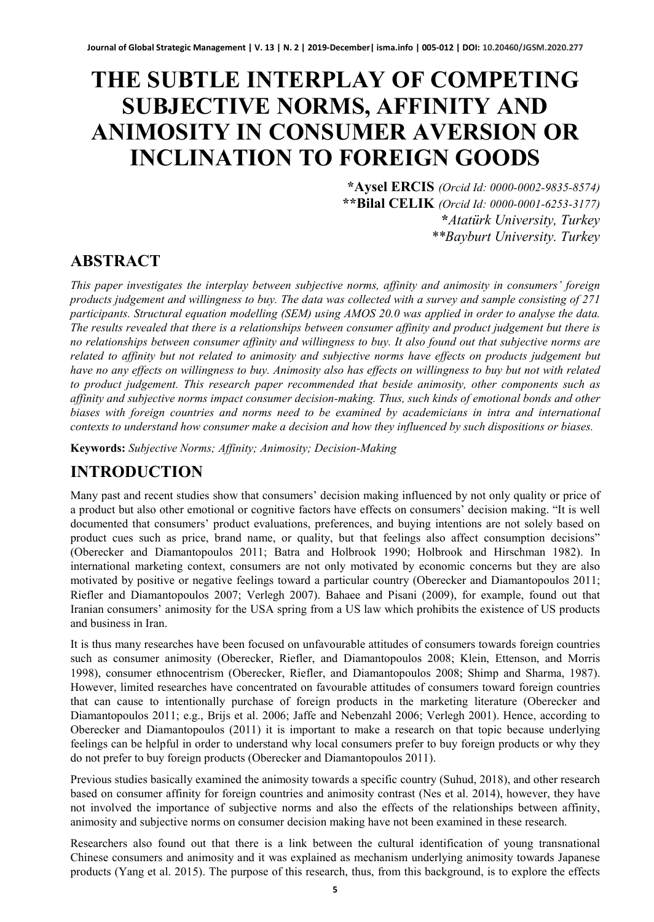# **THE SUBTLE INTERPLAY OF COMPETING SUBJECTIVE NORMS, AFFINITY AND ANIMOSITY IN CONSUMER AVERSION OR INCLINATION TO FOREIGN GOODS**

**\*Aysel ERCIS** *(Orcid Id: 0000-0002-9835-8574)* **\*\*Bilal CELIK** *(Orcid Id: 0000-0001-6253-3177)* **\****Atatürk University, Turkey \*\*Bayburt University. Turkey*

### **ABSTRACT**

*This paper investigates the interplay between subjective norms, affinity and animosity in consumers' foreign products judgement and willingness to buy. The data was collected with a survey and sample consisting of 271 participants. Structural equation modelling (SEM) using AMOS 20.0 was applied in order to analyse the data. The results revealed that there is a relationships between consumer affinity and product judgement but there is no relationships between consumer affinity and willingness to buy. It also found out that subjective norms are related to affinity but not related to animosity and subjective norms have effects on products judgement but have no any effects on willingness to buy. Animosity also has effects on willingness to buy but not with related to product judgement. This research paper recommended that beside animosity, other components such as affinity and subjective norms impact consumer decision-making. Thus, such kinds of emotional bonds and other biases with foreign countries and norms need to be examined by academicians in intra and international contexts to understand how consumer make a decision and how they influenced by such dispositions or biases.*

**Keywords:** *Subjective Norms; Affinity; Animosity; Decision-Making*

### **INTRODUCTION**

Many past and recent studies show that consumers' decision making influenced by not only quality or price of a product but also other emotional or cognitive factors have effects on consumers' decision making. "It is well documented that consumers' product evaluations, preferences, and buying intentions are not solely based on product cues such as price, brand name, or quality, but that feelings also affect consumption decisions" (Oberecker and Diamantopoulos 2011; Batra and Holbrook 1990; Holbrook and Hirschman 1982). In international marketing context, consumers are not only motivated by economic concerns but they are also motivated by positive or negative feelings toward a particular country (Oberecker and Diamantopoulos 2011; Riefler and Diamantopoulos 2007; Verlegh 2007). Bahaee and Pisani (2009), for example, found out that Iranian consumers' animosity for the USA spring from a US law which prohibits the existence of US products and business in Iran.

It is thus many researches have been focused on unfavourable attitudes of consumers towards foreign countries such as consumer animosity (Oberecker, Riefler, and Diamantopoulos 2008; Klein, Ettenson, and Morris 1998), consumer ethnocentrism (Oberecker, Riefler, and Diamantopoulos 2008; Shimp and Sharma, 1987). However, limited researches have concentrated on favourable attitudes of consumers toward foreign countries that can cause to intentionally purchase of foreign products in the marketing literature (Oberecker and Diamantopoulos 2011; e.g., Brijs et al. 2006; Jaffe and Nebenzahl 2006; Verlegh 2001). Hence, according to Oberecker and Diamantopoulos (2011) it is important to make a research on that topic because underlying feelings can be helpful in order to understand why local consumers prefer to buy foreign products or why they do not prefer to buy foreign products (Oberecker and Diamantopoulos 2011).

Previous studies basically examined the animosity towards a specific country (Suhud, 2018), and other research based on consumer affinity for foreign countries and animosity contrast (Nes et al. 2014), however, they have not involved the importance of subjective norms and also the effects of the relationships between affinity, animosity and subjective norms on consumer decision making have not been examined in these research.

Researchers also found out that there is a link between the cultural identification of young transnational Chinese consumers and animosity and it was explained as mechanism underlying animosity towards Japanese products (Yang et al. 2015). The purpose of this research, thus, from this background, is to explore the effects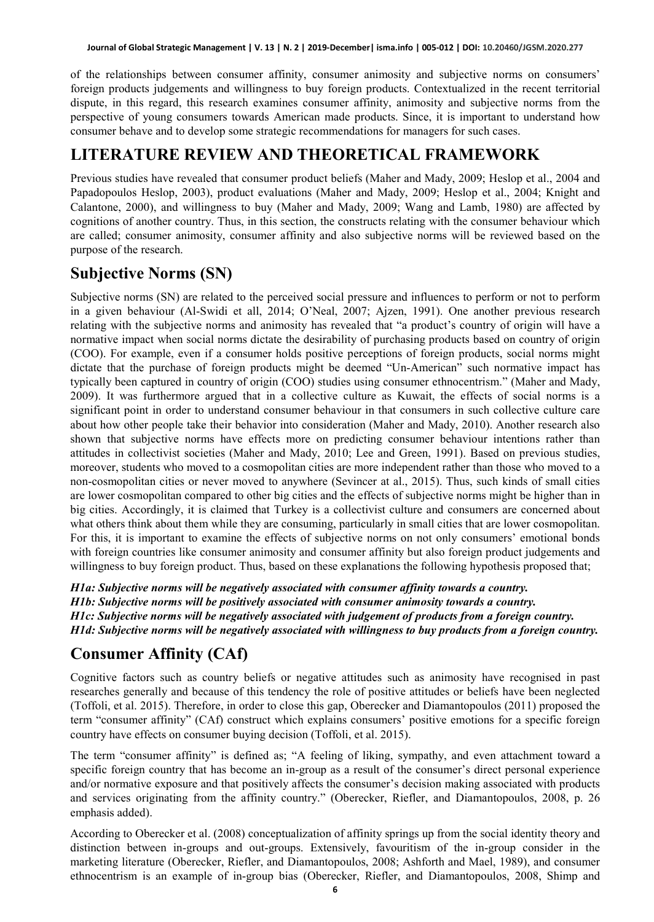of the relationships between consumer affinity, consumer animosity and subjective norms on consumers' foreign products judgements and willingness to buy foreign products. Contextualized in the recent territorial dispute, in this regard, this research examines consumer affinity, animosity and subjective norms from the perspective of young consumers towards American made products. Since, it is important to understand how consumer behave and to develop some strategic recommendations for managers for such cases.

### **LITERATURE REVIEW AND THEORETICAL FRAMEWORK**

Previous studies have revealed that consumer product beliefs (Maher and Mady, 2009; Heslop et al., 2004 and Papadopoulos Heslop, 2003), product evaluations (Maher and Mady, 2009; Heslop et al., 2004; Knight and Calantone, 2000), and willingness to buy (Maher and Mady, 2009; Wang and Lamb, 1980) are affected by cognitions of another country. Thus, in this section, the constructs relating with the consumer behaviour which are called; consumer animosity, consumer affinity and also subjective norms will be reviewed based on the purpose of the research.

### **Subjective Norms (SN)**

Subjective norms (SN) are related to the perceived social pressure and influences to perform or not to perform in a given behaviour (Al-Swidi et all, 2014; O'Neal, 2007; Ajzen, 1991). One another previous research relating with the subjective norms and animosity has revealed that "a product's country of origin will have a normative impact when social norms dictate the desirability of purchasing products based on country of origin (COO). For example, even if a consumer holds positive perceptions of foreign products, social norms might dictate that the purchase of foreign products might be deemed "Un-American" such normative impact has typically been captured in country of origin (COO) studies using consumer ethnocentrism." (Maher and Mady, 2009). It was furthermore argued that in a collective culture as Kuwait, the effects of social norms is a significant point in order to understand consumer behaviour in that consumers in such collective culture care about how other people take their behavior into consideration (Maher and Mady, 2010). Another research also shown that subjective norms have effects more on predicting consumer behaviour intentions rather than attitudes in collectivist societies (Maher and Mady, 2010; Lee and Green, 1991). Based on previous studies, moreover, students who moved to a cosmopolitan cities are more independent rather than those who moved to a non-cosmopolitan cities or never moved to anywhere (Sevincer at al., 2015). Thus, such kinds of small cities are lower cosmopolitan compared to other big cities and the effects of subjective norms might be higher than in big cities. Accordingly, it is claimed that Turkey is a collectivist culture and consumers are concerned about what others think about them while they are consuming, particularly in small cities that are lower cosmopolitan. For this, it is important to examine the effects of subjective norms on not only consumers' emotional bonds with foreign countries like consumer animosity and consumer affinity but also foreign product judgements and willingness to buy foreign product. Thus, based on these explanations the following hypothesis proposed that;

*H1a: Subjective norms will be negatively associated with consumer affinity towards a country. H1b: Subjective norms will be positively associated with consumer animosity towards a country. H1c: Subjective norms will be negatively associated with judgement of products from a foreign country. H1d: Subjective norms will be negatively associated with willingness to buy products from a foreign country.*

### **Consumer Affinity (CAf)**

Cognitive factors such as country beliefs or negative attitudes such as animosity have recognised in past researches generally and because of this tendency the role of positive attitudes or beliefs have been neglected (Toffoli, et al. 2015). Therefore, in order to close this gap, Oberecker and Diamantopoulos (2011) proposed the term "consumer affinity" (CAf) construct which explains consumers' positive emotions for a specific foreign country have effects on consumer buying decision (Toffoli, et al. 2015).

The term "consumer affinity" is defined as; "A feeling of liking, sympathy, and even attachment toward a specific foreign country that has become an in-group as a result of the consumer's direct personal experience and/or normative exposure and that positively affects the consumer's decision making associated with products and services originating from the affinity country." (Oberecker, Riefler, and Diamantopoulos, 2008, p. 26 emphasis added).

According to Oberecker et al. (2008) conceptualization of affinity springs up from the social identity theory and distinction between in-groups and out-groups. Extensively, favouritism of the in-group consider in the marketing literature (Oberecker, Riefler, and Diamantopoulos, 2008; Ashforth and Mael, 1989), and consumer ethnocentrism is an example of in-group bias (Oberecker, Riefler, and Diamantopoulos, 2008, Shimp and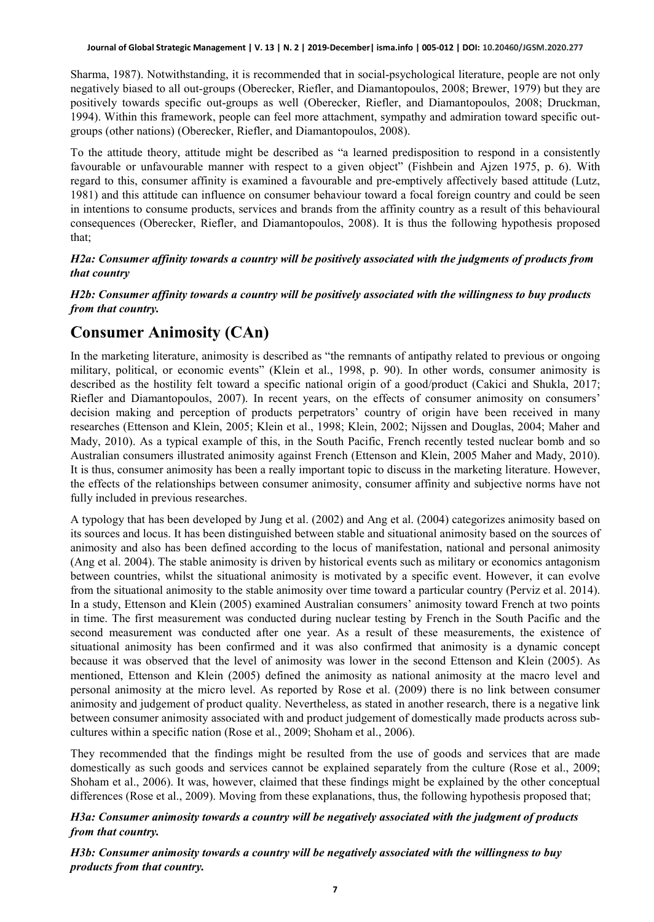Sharma, 1987). Notwithstanding, it is recommended that in social-psychological literature, people are not only negatively biased to all out-groups (Oberecker, Riefler, and Diamantopoulos, 2008; Brewer, 1979) but they are positively towards specific out-groups as well (Oberecker, Riefler, and Diamantopoulos, 2008; Druckman, 1994). Within this framework, people can feel more attachment, sympathy and admiration toward specific outgroups (other nations) (Oberecker, Riefler, and Diamantopoulos, 2008).

To the attitude theory, attitude might be described as "a learned predisposition to respond in a consistently favourable or unfavourable manner with respect to a given object" (Fishbein and Ajzen 1975, p. 6). With regard to this, consumer affinity is examined a favourable and pre-emptively affectively based attitude (Lutz, 1981) and this attitude can influence on consumer behaviour toward a focal foreign country and could be seen in intentions to consume products, services and brands from the affinity country as a result of this behavioural consequences (Oberecker, Riefler, and Diamantopoulos, 2008). It is thus the following hypothesis proposed that;

#### *H2a: Consumer affinity towards a country will be positively associated with the judgments of products from that country*

#### *H2b: Consumer affinity towards a country will be positively associated with the willingness to buy products from that country.*

### **Consumer Animosity (CAn)**

In the marketing literature, animosity is described as "the remnants of antipathy related to previous or ongoing military, political, or economic events" (Klein et al., 1998, p. 90). In other words, consumer animosity is described as the hostility felt toward a specific national origin of a good/product (Cakici and Shukla, 2017; Riefler and Diamantopoulos, 2007). In recent years, on the effects of consumer animosity on consumers' decision making and perception of products perpetrators' country of origin have been received in many researches (Ettenson and Klein, 2005; Klein et al., 1998; Klein, 2002; Nijssen and Douglas, 2004; Maher and Mady, 2010). As a typical example of this, in the South Pacific, French recently tested nuclear bomb and so Australian consumers illustrated animosity against French (Ettenson and Klein, 2005 Maher and Mady, 2010). It is thus, consumer animosity has been a really important topic to discuss in the marketing literature. However, the effects of the relationships between consumer animosity, consumer affinity and subjective norms have not fully included in previous researches.

A typology that has been developed by Jung et al. (2002) and Ang et al. (2004) categorizes animosity based on its sources and locus. It has been distinguished between stable and situational animosity based on the sources of animosity and also has been defined according to the locus of manifestation, national and personal animosity (Ang et al. 2004). The stable animosity is driven by historical events such as military or economics antagonism between countries, whilst the situational animosity is motivated by a specific event. However, it can evolve from the situational animosity to the stable animosity over time toward a particular country (Perviz et al. 2014). In a study, Ettenson and Klein (2005) examined Australian consumers' animosity toward French at two points in time. The first measurement was conducted during nuclear testing by French in the South Pacific and the second measurement was conducted after one year. As a result of these measurements, the existence of situational animosity has been confirmed and it was also confirmed that animosity is a dynamic concept because it was observed that the level of animosity was lower in the second Ettenson and Klein (2005). As mentioned, Ettenson and Klein (2005) defined the animosity as national animosity at the macro level and personal animosity at the micro level. As reported by Rose et al. (2009) there is no link between consumer animosity and judgement of product quality. Nevertheless, as stated in another research, there is a negative link between consumer animosity associated with and product judgement of domestically made products across subcultures within a specific nation (Rose et al., 2009; Shoham et al., 2006).

They recommended that the findings might be resulted from the use of goods and services that are made domestically as such goods and services cannot be explained separately from the culture (Rose et al., 2009; Shoham et al., 2006). It was, however, claimed that these findings might be explained by the other conceptual differences (Rose et al., 2009). Moving from these explanations, thus, the following hypothesis proposed that;

#### *H3a: Consumer animosity towards a country will be negatively associated with the judgment of products from that country.*

*H3b: Consumer animosity towards a country will be negatively associated with the willingness to buy products from that country.*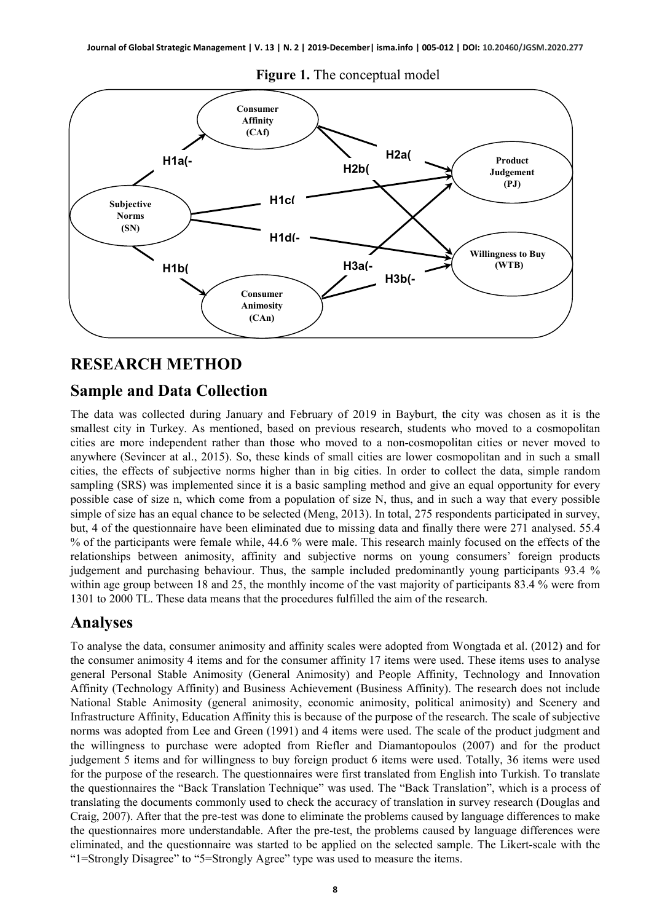

**Figure 1.** The conceptual model

#### **RESEARCH METHOD**

#### **Sample and Data Collection**

The data was collected during January and February of 2019 in Bayburt, the city was chosen as it is the smallest city in Turkey. As mentioned, based on previous research, students who moved to a cosmopolitan cities are more independent rather than those who moved to a non-cosmopolitan cities or never moved to anywhere (Sevincer at al., 2015). So, these kinds of small cities are lower cosmopolitan and in such a small cities, the effects of subjective norms higher than in big cities. In order to collect the data, simple random sampling (SRS) was implemented since it is a basic sampling method and give an equal opportunity for every possible case of size n, which come from a population of size N, thus, and in such a way that every possible simple of size has an equal chance to be selected (Meng, 2013). In total, 275 respondents participated in survey, but, 4 of the questionnaire have been eliminated due to missing data and finally there were 271 analysed. 55.4 % of the participants were female while, 44.6 % were male. This research mainly focused on the effects of the relationships between animosity, affinity and subjective norms on young consumers' foreign products judgement and purchasing behaviour. Thus, the sample included predominantly young participants 93.4 % within age group between 18 and 25, the monthly income of the vast majority of participants 83.4 % were from 1301 to 2000 TL. These data means that the procedures fulfilled the aim of the research.

#### **Analyses**

To analyse the data, consumer animosity and affinity scales were adopted from Wongtada et al. (2012) and for the consumer animosity 4 items and for the consumer affinity 17 items were used. These items uses to analyse general Personal Stable Animosity (General Animosity) and People Affinity, Technology and Innovation Affinity (Technology Affinity) and Business Achievement (Business Affinity). The research does not include National Stable Animosity (general animosity, economic animosity, political animosity) and Scenery and Infrastructure Affinity, Education Affinity this is because of the purpose of the research. The scale of subjective norms was adopted from Lee and Green (1991) and 4 items were used. The scale of the product judgment and the willingness to purchase were adopted from Riefler and Diamantopoulos (2007) and for the product judgement 5 items and for willingness to buy foreign product 6 items were used. Totally, 36 items were used for the purpose of the research. The questionnaires were first translated from English into Turkish. To translate the questionnaires the "Back Translation Technique" was used. The "Back Translation", which is a process of translating the documents commonly used to check the accuracy of translation in survey research (Douglas and Craig, 2007). After that the pre-test was done to eliminate the problems caused by language differences to make the questionnaires more understandable. After the pre-test, the problems caused by language differences were eliminated, and the questionnaire was started to be applied on the selected sample. The Likert-scale with the "1=Strongly Disagree" to "5=Strongly Agree" type was used to measure the items.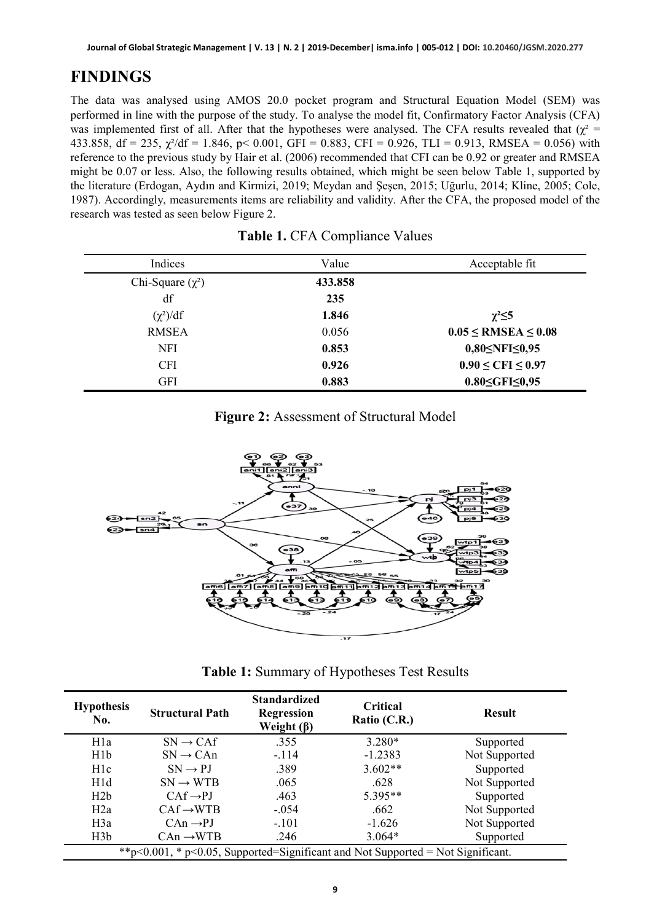# **FINDINGS**

The data was analysed using AMOS 20.0 pocket program and Structural Equation Model (SEM) was performed in line with the purpose of the study. To analyse the model fit, Confirmatory Factor Analysis (CFA) was implemented first of all. After that the hypotheses were analysed. The CFA results revealed that  $(\chi^2 =$ 433.858, df = 235,  $\chi^2$ /df = 1.846, p < 0.001, GFI = 0.883, CFI = 0.926, TLI = 0.913, RMSEA = 0.056) with reference to the previous study by Hair et al. (2006) recommended that CFI can be 0.92 or greater and RMSEA might be 0.07 or less. Also, the following results obtained, which might be seen below Table 1, supported by the literature (Erdogan, Aydın and Kirmizi, 2019; Meydan and Şeşen, 2015; Uğurlu, 2014; Kline, 2005; Cole, 1987). Accordingly, measurements items are reliability and validity. After the CFA, the proposed model of the research was tested as seen below Figure 2.

| Indices               | Value   | Acceptable fit                |
|-----------------------|---------|-------------------------------|
| Chi-Square $(\chi^2)$ | 433.858 |                               |
| df                    | 235     |                               |
| $(\chi^2)/df$         | 1.846   | $\chi^2 \leq 5$               |
| <b>RMSEA</b>          | 0.056   | $0.05 \leq$ RMSEA $\leq 0.08$ |
| <b>NFI</b>            | 0.853   | $0,80 \leq NFI \leq 0,95$     |
| <b>CFI</b>            | 0.926   | $0.90 \leq CFI \leq 0.97$     |
| <b>GFI</b>            | 0.883   | $0.80 \leq$ GFI $\leq 0.95$   |

|  | Figure 2: Assessment of Structural Model |  |  |
|--|------------------------------------------|--|--|
|--|------------------------------------------|--|--|



**Table 1:** Summary of Hypotheses Test Results

| <b>Hypothesis</b><br>No.                                                        | <b>Structural Path</b> | <b>Standardized</b><br><b>Regression</b><br>Weight $(\beta)$ | Critical<br>Ratio $(C.R.)$ | <b>Result</b> |  |
|---------------------------------------------------------------------------------|------------------------|--------------------------------------------------------------|----------------------------|---------------|--|
| H <sub>1</sub> a                                                                | $SN \rightarrow CAf$   | .355                                                         | $3.280*$                   | Supported     |  |
| H1b                                                                             | $SN \rightarrow CAn$   | $-.114$                                                      | $-1.2383$                  | Not Supported |  |
| H1c                                                                             | $SN \rightarrow PI$    | .389                                                         | $3.602**$                  | Supported     |  |
| H1d                                                                             | $SN \rightarrow WTR$   | .065                                                         | .628                       | Not Supported |  |
| H2b                                                                             | $CAf \rightarrow PJ$   | .463                                                         | $5.395**$                  | Supported     |  |
| H2a                                                                             | $CAf \rightarrow WTB$  | $-.054$                                                      | .662                       | Not Supported |  |
| H3a                                                                             | $CAn \rightarrow PJ$   | $-.101$                                                      | $-1.626$                   | Not Supported |  |
| H3b                                                                             | $CAM \rightarrow WTB$  | .246                                                         | $3.064*$                   | Supported     |  |
| **p<0.001, * p<0.05, Supported=Significant and Not Supported = Not Significant. |                        |                                                              |                            |               |  |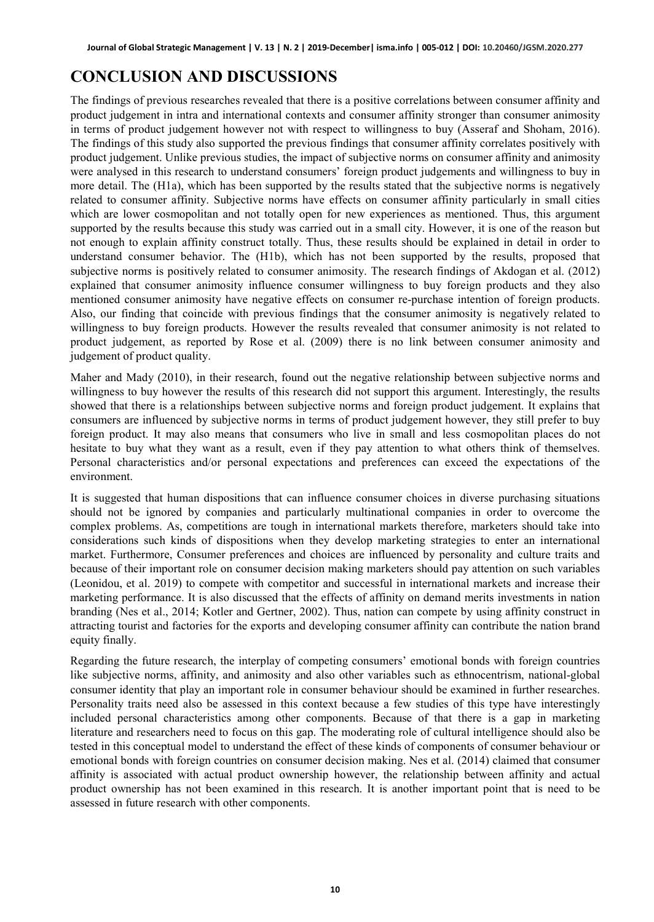## **CONCLUSION AND DISCUSSIONS**

The findings of previous researches revealed that there is a positive correlations between consumer affinity and product judgement in intra and international contexts and consumer affinity stronger than consumer animosity in terms of product judgement however not with respect to willingness to buy (Asseraf and Shoham, 2016). The findings of this study also supported the previous findings that consumer affinity correlates positively with product judgement. Unlike previous studies, the impact of subjective norms on consumer affinity and animosity were analysed in this research to understand consumers' foreign product judgements and willingness to buy in more detail. The (H1a), which has been supported by the results stated that the subjective norms is negatively related to consumer affinity. Subjective norms have effects on consumer affinity particularly in small cities which are lower cosmopolitan and not totally open for new experiences as mentioned. Thus, this argument supported by the results because this study was carried out in a small city. However, it is one of the reason but not enough to explain affinity construct totally. Thus, these results should be explained in detail in order to understand consumer behavior. The (H1b), which has not been supported by the results, proposed that subjective norms is positively related to consumer animosity. The research findings of Akdogan et al. (2012) explained that consumer animosity influence consumer willingness to buy foreign products and they also mentioned consumer animosity have negative effects on consumer re-purchase intention of foreign products. Also, our finding that coincide with previous findings that the consumer animosity is negatively related to willingness to buy foreign products. However the results revealed that consumer animosity is not related to product judgement, as reported by Rose et al. (2009) there is no link between consumer animosity and judgement of product quality.

Maher and Mady (2010), in their research, found out the negative relationship between subjective norms and willingness to buy however the results of this research did not support this argument. Interestingly, the results showed that there is a relationships between subjective norms and foreign product judgement. It explains that consumers are influenced by subjective norms in terms of product judgement however, they still prefer to buy foreign product. It may also means that consumers who live in small and less cosmopolitan places do not hesitate to buy what they want as a result, even if they pay attention to what others think of themselves. Personal characteristics and/or personal expectations and preferences can exceed the expectations of the environment.

It is suggested that human dispositions that can influence consumer choices in diverse purchasing situations should not be ignored by companies and particularly multinational companies in order to overcome the complex problems. As, competitions are tough in international markets therefore, marketers should take into considerations such kinds of dispositions when they develop marketing strategies to enter an international market. Furthermore, Consumer preferences and choices are influenced by personality and culture traits and because of their important role on consumer decision making marketers should pay attention on such variables (Leonidou, et al. 2019) to compete with competitor and successful in international markets and increase their marketing performance. It is also discussed that the effects of affinity on demand merits investments in nation branding (Nes et al., 2014; Kotler and Gertner, 2002). Thus, nation can compete by using affinity construct in attracting tourist and factories for the exports and developing consumer affinity can contribute the nation brand equity finally.

Regarding the future research, the interplay of competing consumers' emotional bonds with foreign countries like subjective norms, affinity, and animosity and also other variables such as ethnocentrism, national-global consumer identity that play an important role in consumer behaviour should be examined in further researches. Personality traits need also be assessed in this context because a few studies of this type have interestingly included personal characteristics among other components. Because of that there is a gap in marketing literature and researchers need to focus on this gap. The moderating role of cultural intelligence should also be tested in this conceptual model to understand the effect of these kinds of components of consumer behaviour or emotional bonds with foreign countries on consumer decision making. Nes et al. (2014) claimed that consumer affinity is associated with actual product ownership however, the relationship between affinity and actual product ownership has not been examined in this research. It is another important point that is need to be assessed in future research with other components.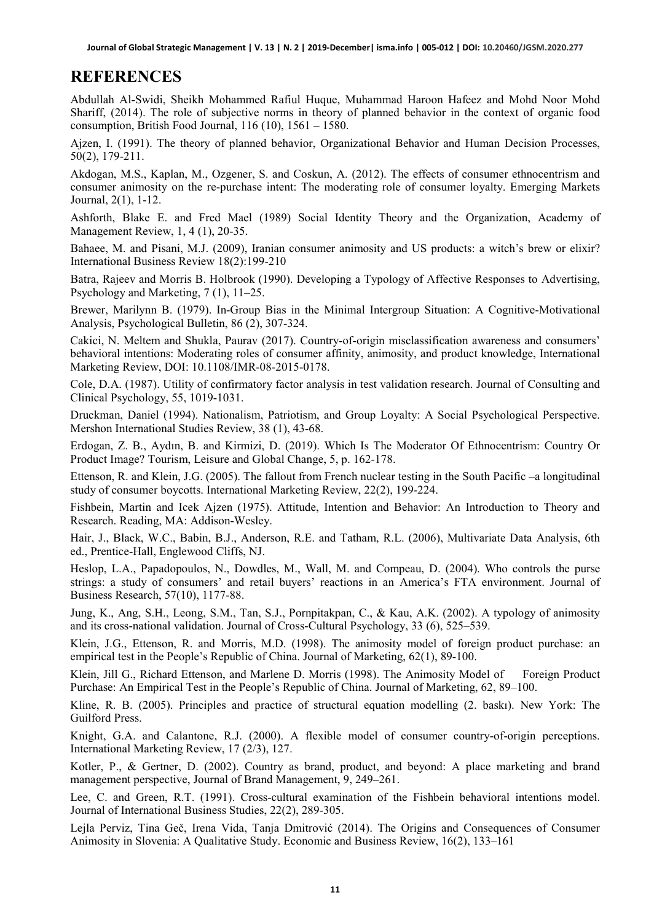### **REFERENCES**

Abdullah Al-Swidi, Sheikh Mohammed Rafiul Huque, Muhammad Haroon Hafeez and Mohd Noor Mohd Shariff, (2014). The role of subjective norms in theory of planned behavior in the context of organic food consumption, British Food Journal,  $116(10)$ ,  $1561 - 1580$ .

Ajzen, I. (1991). The theory of planned behavior, Organizational Behavior and Human Decision Processes, 50(2), 179-211.

Akdogan, M.S., Kaplan, M., Ozgener, S. and Coskun, A. (2012). The effects of consumer ethnocentrism and consumer animosity on the re-purchase intent: The moderating role of consumer loyalty. Emerging Markets Journal, 2(1), 1-12.

Ashforth, Blake E. and Fred Mael (1989) Social Identity Theory and the Organization, Academy of Management Review, 1, 4 (1), 20-35.

Bahaee, M. and Pisani, M.J. (2009), Iranian consumer animosity and US products: a witch's brew or elixir? International Business Review 18(2):199-210

Batra, Rajeev and Morris B. Holbrook (1990). Developing a Typology of Affective Responses to Advertising, Psychology and Marketing, 7 (1), 11–25.

Brewer, Marilynn B. (1979). In-Group Bias in the Minimal Intergroup Situation: A Cognitive-Motivational Analysis, Psychological Bulletin, 86 (2), 307-324.

Cakici, N. Meltem and Shukla, Paurav (2017). Country-of-origin misclassification awareness and consumers' behavioral intentions: Moderating roles of consumer affinity, animosity, and product knowledge, International Marketing Review, DOI: 10.1108/IMR-08-2015-0178.

Cole, D.A. (1987). Utility of confirmatory factor analysis in test validation research. Journal of Consulting and Clinical Psychology, 55, 1019-1031.

Druckman, Daniel (1994). Nationalism, Patriotism, and Group Loyalty: A Social Psychological Perspective. Mershon International Studies Review, 38 (1), 43-68.

Erdogan, Z. B., Aydın, B. and Kirmizi, D. (2019). Which Is The Moderator Of Ethnocentrism: Country Or Product Image? Tourism, Leisure and Global Change, 5, p. 162-178.

Ettenson, R. and Klein, J.G. (2005). The fallout from French nuclear testing in the South Pacific –a longitudinal study of consumer boycotts. International Marketing Review, 22(2), 199-224.

Fishbein, Martin and Icek Ajzen (1975). Attitude, Intention and Behavior: An Introduction to Theory and Research. Reading, MA: Addison-Wesley.

Hair, J., Black, W.C., Babin, B.J., Anderson, R.E. and Tatham, R.L. (2006), Multivariate Data Analysis, 6th ed., Prentice-Hall, Englewood Cliffs, NJ.

Heslop, L.A., Papadopoulos, N., Dowdles, M., Wall, M. and Compeau, D. (2004). Who controls the purse strings: a study of consumers' and retail buyers' reactions in an America's FTA environment. Journal of Business Research, 57(10), 1177-88.

Jung, K., Ang, S.H., Leong, S.M., Tan, S.J., Pornpitakpan, C., & Kau, A.K. (2002). A typology of animosity and its cross-national validation. Journal of Cross-Cultural Psychology, 33 (6), 525–539.

Klein, J.G., Ettenson, R. and Morris, M.D. (1998). The animosity model of foreign product purchase: an empirical test in the People's Republic of China. Journal of Marketing, 62(1), 89-100.

Klein, Jill G., Richard Ettenson, and Marlene D. Morris (1998). The Animosity Model of Foreign Product Purchase: An Empirical Test in the People's Republic of China. Journal of Marketing, 62, 89–100.

Kline, R. B. (2005). Principles and practice of structural equation modelling (2. baskı). New York: The Guilford Press.

Knight, G.A. and Calantone, R.J. (2000). A flexible model of consumer country-of-origin perceptions. International Marketing Review, 17 (2/3), 127.

Kotler, P., & Gertner, D. (2002). Country as brand, product, and beyond: A place marketing and brand management perspective, Journal of Brand Management, 9, 249–261.

Lee, C. and Green, R.T. (1991). Cross-cultural examination of the Fishbein behavioral intentions model. Journal of International Business Studies, 22(2), 289-305.

Lejla Perviz, Tina Geč, Irena Vida, Tanja Dmitrović (2014). The Origins and Consequences of Consumer Animosity in Slovenia: A Qualitative Study. Economic and Business Review, 16(2), 133–161